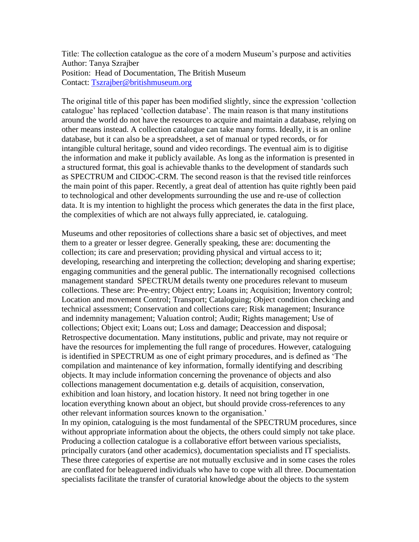Title: The collection catalogue as the core of a modern Museum's purpose and activities Author: Tanya Szrajber Position: Head of Documentation, The British Museum Contact: [Tszrajber@britishmuseum.org](mailto:Tszrajber@britishmuseum.org)

The original title of this paper has been modified slightly, since the expression 'collection catalogue' has replaced 'collection database'. The main reason is that many institutions around the world do not have the resources to acquire and maintain a database, relying on other means instead. A collection catalogue can take many forms. Ideally, it is an online database, but it can also be a spreadsheet, a set of manual or typed records, or for intangible cultural heritage, sound and video recordings. The eventual aim is to digitise the information and make it publicly available. As long as the information is presented in a structured format, this goal is achievable thanks to the development of standards such as SPECTRUM and CIDOC-CRM. The second reason is that the revised title reinforces the main point of this paper. Recently, a great deal of attention has quite rightly been paid to technological and other developments surrounding the use and re-use of collection data. It is my intention to highlight the process which generates the data in the first place, the complexities of which are not always fully appreciated, ie. cataloguing.

Museums and other repositories of collections share a basic set of objectives, and meet them to a greater or lesser degree. Generally speaking, these are: documenting the collection; its care and preservation; providing physical and virtual access to it; developing, researching and interpreting the collection; developing and sharing expertise; engaging communities and the general public. The internationally recognised collections management standard SPECTRUM details twenty one procedures relevant to museum collections. These are: Pre-entry; Object entry; Loans in; Acquisition; Inventory control; Location and movement Control; Transport; Cataloguing; Object condition checking and technical assessment; Conservation and collections care; Risk management; Insurance and indemnity management; Valuation control; Audit; Rights management; Use of collections; Object exit; Loans out; Loss and damage; Deaccession and disposal; Retrospective documentation. Many institutions, public and private, may not require or have the resources for implementing the full range of procedures. However, cataloguing is identified in SPECTRUM as one of eight primary procedures, and is defined as 'The compilation and maintenance of key information, formally identifying and describing objects. It may include information concerning the provenance of objects and also collections management documentation e.g. details of acquisition, conservation, exhibition and loan history, and location history. It need not bring together in one location everything known about an object, but should provide cross-references to any other relevant information sources known to the organisation.'

In my opinion, cataloguing is the most fundamental of the SPECTRUM procedures, since without appropriate information about the objects, the others could simply not take place. Producing a collection catalogue is a collaborative effort between various specialists, principally curators (and other academics), documentation specialists and IT specialists. These three categories of expertise are not mutually exclusive and in some cases the roles are conflated for beleaguered individuals who have to cope with all three. Documentation specialists facilitate the transfer of curatorial knowledge about the objects to the system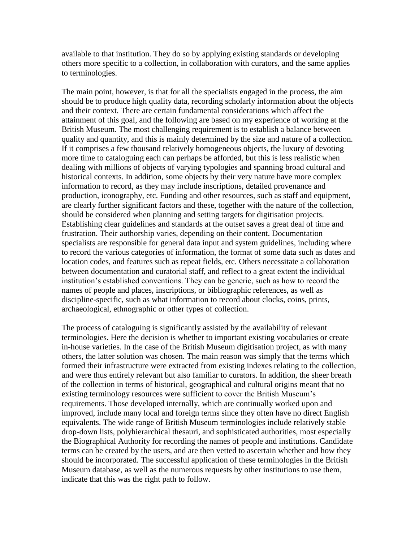available to that institution. They do so by applying existing standards or developing others more specific to a collection, in collaboration with curators, and the same applies to terminologies.

The main point, however, is that for all the specialists engaged in the process, the aim should be to produce high quality data, recording scholarly information about the objects and their context. There are certain fundamental considerations which affect the attainment of this goal, and the following are based on my experience of working at the British Museum. The most challenging requirement is to establish a balance between quality and quantity, and this is mainly determined by the size and nature of a collection. If it comprises a few thousand relatively homogeneous objects, the luxury of devoting more time to cataloguing each can perhaps be afforded, but this is less realistic when dealing with millions of objects of varying typologies and spanning broad cultural and historical contexts. In addition, some objects by their very nature have more complex information to record, as they may include inscriptions, detailed provenance and production, iconography, etc. Funding and other resources, such as staff and equipment, are clearly further significant factors and these, together with the nature of the collection, should be considered when planning and setting targets for digitisation projects. Establishing clear guidelines and standards at the outset saves a great deal of time and frustration. Their authorship varies, depending on their content. Documentation specialists are responsible for general data input and system guidelines, including where to record the various categories of information, the format of some data such as dates and location codes, and features such as repeat fields, etc. Others necessitate a collaboration between documentation and curatorial staff, and reflect to a great extent the individual institution's established conventions. They can be generic, such as how to record the names of people and places, inscriptions, or bibliographic references, as well as discipline-specific, such as what information to record about clocks, coins, prints, archaeological, ethnographic or other types of collection.

The process of cataloguing is significantly assisted by the availability of relevant terminologies. Here the decision is whether to important existing vocabularies or create in-house varieties. In the case of the British Museum digitisation project, as with many others, the latter solution was chosen. The main reason was simply that the terms which formed their infrastructure were extracted from existing indexes relating to the collection, and were thus entirely relevant but also familiar to curators. In addition, the sheer breath of the collection in terms of historical, geographical and cultural origins meant that no existing terminology resources were sufficient to cover the British Museum's requirements. Those developed internally, which are continually worked upon and improved, include many local and foreign terms since they often have no direct English equivalents. The wide range of British Museum terminologies include relatively stable drop-down lists, polyhierarchical thesauri, and sophisticated authorities, most especially the Biographical Authority for recording the names of people and institutions. Candidate terms can be created by the users, and are then vetted to ascertain whether and how they should be incorporated. The successful application of these terminologies in the British Museum database, as well as the numerous requests by other institutions to use them, indicate that this was the right path to follow.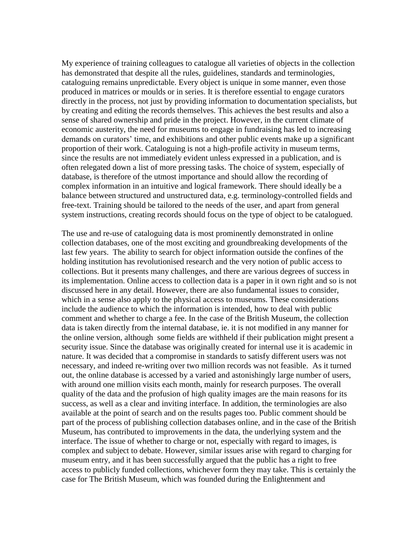My experience of training colleagues to catalogue all varieties of objects in the collection has demonstrated that despite all the rules, guidelines, standards and terminologies, cataloguing remains unpredictable. Every object is unique in some manner, even those produced in matrices or moulds or in series. It is therefore essential to engage curators directly in the process, not just by providing information to documentation specialists, but by creating and editing the records themselves. This achieves the best results and also a sense of shared ownership and pride in the project. However, in the current climate of economic austerity, the need for museums to engage in fundraising has led to increasing demands on curators' time, and exhibitions and other public events make up a significant proportion of their work. Cataloguing is not a high-profile activity in museum terms, since the results are not immediately evident unless expressed in a publication, and is often relegated down a list of more pressing tasks. The choice of system, especially of database, is therefore of the utmost importance and should allow the recording of complex information in an intuitive and logical framework. There should ideally be a balance between structured and unstructured data, e.g. terminology-controlled fields and free-text. Training should be tailored to the needs of the user, and apart from general system instructions, creating records should focus on the type of object to be catalogued.

The use and re-use of cataloguing data is most prominently demonstrated in online collection databases, one of the most exciting and groundbreaking developments of the last few years. The ability to search for object information outside the confines of the holding institution has revolutionised research and the very notion of public access to collections. But it presents many challenges, and there are various degrees of success in its implementation. Online access to collection data is a paper in it own right and so is not discussed here in any detail. However, there are also fundamental issues to consider, which in a sense also apply to the physical access to museums. These considerations include the audience to which the information is intended, how to deal with public comment and whether to charge a fee. In the case of the British Museum, the collection data is taken directly from the internal database, ie. it is not modified in any manner for the online version, although some fields are withheld if their publication might present a security issue. Since the database was originally created for internal use it is academic in nature. It was decided that a compromise in standards to satisfy different users was not necessary, and indeed re-writing over two million records was not feasible. As it turned out, the online database is accessed by a varied and astonishingly large number of users, with around one million visits each month, mainly for research purposes. The overall quality of the data and the profusion of high quality images are the main reasons for its success, as well as a clear and inviting interface. In addition, the terminologies are also available at the point of search and on the results pages too. Public comment should be part of the process of publishing collection databases online, and in the case of the British Museum, has contributed to improvements in the data, the underlying system and the interface. The issue of whether to charge or not, especially with regard to images, is complex and subject to debate. However, similar issues arise with regard to charging for museum entry, and it has been successfully argued that the public has a right to free access to publicly funded collections, whichever form they may take. This is certainly the case for The British Museum, which was founded during the Enlightenment and